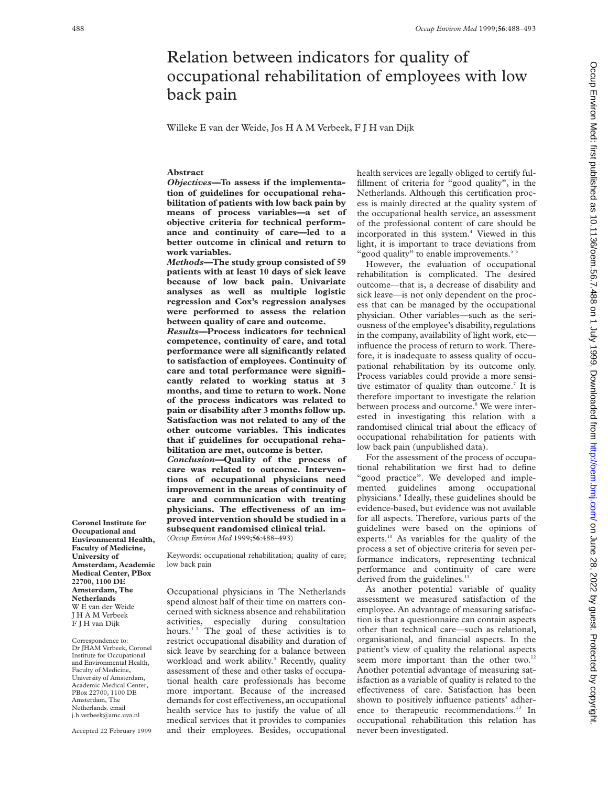# Relation between indicators for quality of occupational rehabilitation of employees with low back pain

Willeke E van der Weide, Jos H A M Verbeek, F J H van Dijk

## **Abstract**

*Objectives—***To assess if the implementation of guidelines for occupational rehabilitation of patients with low back pain by means of process variables—a set of objective criteria for technical performance and continuity of care—led to a better outcome in clinical and return to work variables.**

*Methods—***The study group consisted of 59 patients with at least 10 days of sick leave because of low back pain. Univariate analyses as well as multiple logistic regression and Cox's regression analyses were performed to assess the relation between quality of care and outcome.**

*Results—***Process indicators for technical competence, continuity of care, and total performance were all significantly related to satisfaction of employees. Continuity of care and total performance were significantly related to working status at 3 months, and time to return to work. None of the process indicators was related to pain or disability after 3 months follow up. Satisfaction was not related to any of the other outcome variables. This indicates that if guidelines for occupational rehabilitation are met, outcome is better.**

*Conclusion—***Quality of the process of care was related to outcome. Interventions of occupational physicians need improvement in the areas of continuity of care and communication with treating** physicians. The effectiveness of an im**proved intervention should be studied in a subsequent randomised clinical trial.** (*Occup Environ Med* 1999;**56**:488–493)

Keywords: occupational rehabilitation; quality of care; low back pain

Occupational physicians in The Netherlands spend almost half of their time on matters concerned with sickness absence and rehabilitation activities, especially during consultation hours.<sup>12</sup> The goal of these activities is to restrict occupational disability and duration of sick leave by searching for a balance between workload and work ability.<sup>3</sup> Recently, quality assessment of these and other tasks of occupational health care professionals has become more important. Because of the increased demands for cost effectiveness, an occupational health service has to justify the value of all medical services that it provides to companies and their employees. Besides, occupational

health services are legally obliged to certify fulfillment of criteria for "good quality", in the Netherlands. Although this certification process is mainly directed at the quality system of the occupational health service, an assessment of the professional content of care should be incorporated in this system.<sup>4</sup> Viewed in this light, it is important to trace deviations from "good quality" to enable improvements.<sup>56</sup>

However, the evaluation of occupational rehabilitation is complicated. The desired outcome—that is, a decrease of disability and sick leave—is not only dependent on the process that can be managed by the occupational physician. Other variables—such as the seriousness of the employee's disability, regulations in the company, availability of light work, etc influence the process of return to work. Therefore, it is inadequate to assess quality of occupational rehabilitation by its outcome only. Process variables could provide a more sensitive estimator of quality than outcome.<sup>7</sup> It is therefore important to investigate the relation between process and outcome.<sup>8</sup> We were interested in investigating this relation with a randomised clinical trial about the efficacy of occupational rehabilitation for patients with low back pain (unpublished data).

For the assessment of the process of occupational rehabilitation we first had to define "good practice". We developed and implemented guidelines among occupational physicians.9 Ideally, these guidelines should be evidence-based, but evidence was not available for all aspects. Therefore, various parts of the guidelines were based on the opinions of experts.10 As variables for the quality of the process a set of objective criteria for seven performance indicators, representing technical performance and continuity of care were derived from the guidelines.<sup>11</sup>

As another potential variable of quality assessment we measured satisfaction of the employee. An advantage of measuring satisfaction is that a questionnaire can contain aspects other than technical care—such as relational, organisational, and financial aspects. In the patient's view of quality the relational aspects seem more important than the other two.<sup>12</sup> Another potential advantage of measuring satisfaction as a variable of quality is related to the effectiveness of care. Satisfaction has been shown to positively influence patients' adherence to therapeutic recommendations.<sup>13</sup> In occupational rehabilitation this relation has never been investigated.

Occup Environ Med: first published as 10.11136/oem.56.7.488 on 1 July 1999. Downloaded from http://oem.bmj.com/ on June 28, 2022 by guest. Protected by copyright

on June 28, 2022 by guest. Protected by copyright. <http://oem.bmj.com/> Occup Environ Med: first published as 10.1136/oem.56.7.488 on 1 July 1999. Downloaded from

**Coronel Institute for Occupational and Environmental Health, Faculty of Medicine, University of Amsterdam, Academic Medical Center, PBox 22700, 1100 DE Amsterdam, The Netherlands** W E van der Weide JHAMVerbeek F J H van Dijk

Correspondence to: Dr JHAM Verbeek, Coronel Institute for Occupational and Environmental Health, Faculty of Medicine, University of Amsterdam, Academic Medical Center, PBox 22700, 1100 DE Amsterdam, The Netherlands. email j.h.verbeek@amc.uva.nl

Accepted 22 February 1999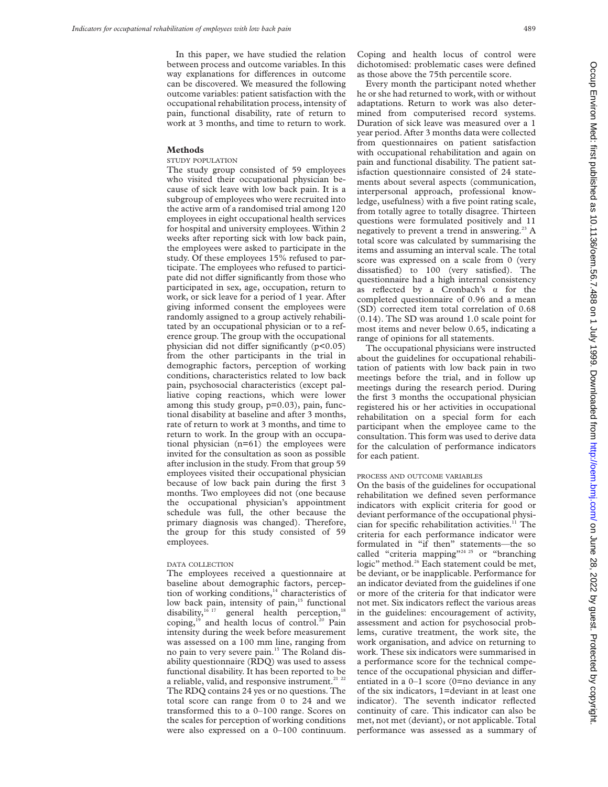In this paper, we have studied the relation between process and outcome variables. In this way explanations for differences in outcome can be discovered. We measured the following outcome variables: patient satisfaction with the occupational rehabilitation process, intensity of pain, functional disability, rate of return to work at 3 months, and time to return to work.

#### **Methods**

# STUDY POPULATION

The study group consisted of 59 employees who visited their occupational physician because of sick leave with low back pain. It is a subgroup of employees who were recruited into the active arm of a randomised trial among 120 employees in eight occupational health services for hospital and university employees. Within 2 weeks after reporting sick with low back pain, the employees were asked to participate in the study. Of these employees 15% refused to participate. The employees who refused to participate did not differ significantly from those who participated in sex, age, occupation, return to work, or sick leave for a period of 1 year. After giving informed consent the employees were randomly assigned to a group actively rehabilitated by an occupational physician or to a reference group. The group with the occupational physician did not differ significantly  $(p<0.05)$ from the other participants in the trial in demographic factors, perception of working conditions, characteristics related to low back pain, psychosocial characteristics (except palliative coping reactions, which were lower among this study group, p=0.03), pain, functional disability at baseline and after 3 months, rate of return to work at 3 months, and time to return to work. In the group with an occupational physician (n=61) the employees were invited for the consultation as soon as possible after inclusion in the study. From that group 59 employees visited their occupational physician because of low back pain during the first 3 months. Two employees did not (one because the occupational physician's appointment schedule was full, the other because the primary diagnosis was changed). Therefore, the group for this study consisted of 59 employees.

#### DATA COLLECTION

The employees received a questionnaire at baseline about demographic factors, perception of working conditions,<sup>14</sup> characteristics of low back pain, intensity of pain, $15$  functional disability, $16 \frac{17}{17}$  general health perception,<sup>18</sup> coping,<sup>19</sup> and health locus of control.<sup>20</sup> Pain intensity during the week before measurement was assessed on a 100 mm line, ranging from no pain to very severe pain.15 The Roland disability questionnaire (RDQ) was used to assess functional disability. It has been reported to be a reliable, valid, and responsive instrument.<sup>21</sup> <sup>22</sup> The RDQ contains 24 yes or no questions. The total score can range from 0 to 24 and we transformed this to a 0–100 range. Scores on the scales for perception of working conditions were also expressed on a 0–100 continuum.

Coping and health locus of control were dichotomised: problematic cases were defined as those above the 75th percentile score.

Every month the participant noted whether he or she had returned to work, with or without adaptations. Return to work was also determined from computerised record systems. Duration of sick leave was measured over a 1 year period. After 3 months data were collected from questionnaires on patient satisfaction with occupational rehabilitation and again on pain and functional disability. The patient satisfaction questionnaire consisted of 24 statements about several aspects (communication, interpersonal approach, professional knowledge, usefulness) with a five point rating scale, from totally agree to totally disagree. Thirteen questions were formulated positively and 11 negatively to prevent a trend in answering.<sup>23</sup> A total score was calculated by summarising the items and assuming an interval scale. The total score was expressed on a scale from 0 (very dissatisfied) to 100 (very satisfied). The questionnaire had a high internal consistency as reflected by a Cronbach's  $\alpha$  for the completed questionnaire of 0.96 and a mean (SD) corrected item total correlation of 0.68 (0.14). The SD was around 1.0 scale point for most items and never below 0.65, indicating a range of opinions for all statements.

The occupational physicians were instructed about the guidelines for occupational rehabilitation of patients with low back pain in two meetings before the trial, and in follow up meetings during the research period. During the first 3 months the occupational physician registered his or her activities in occupational rehabilitation on a special form for each participant when the employee came to the consultation. This form was used to derive data for the calculation of performance indicators for each patient.

## PROCESS AND OUTCOME VARIABLES

On the basis of the guidelines for occupational rehabilitation we defined seven performance indicators with explicit criteria for good or deviant performance of the occupational physician for specific rehabilitation activities.<sup>11</sup> The criteria for each performance indicator were formulated in "if then" statements—the so called "criteria mapping"<sup>24 25</sup> or "branching" logic" method.<sup>26</sup> Each statement could be met, be deviant, or be inapplicable. Performance for an indicator deviated from the guidelines if one or more of the criteria for that indicator were not met. Six indicators reflect the various areas in the guidelines: encouragement of activity, assessment and action for psychosocial problems, curative treatment, the work site, the work organisation, and advice on returning to work. These six indicators were summarised in a performance score for the technical competence of the occupational physician and differentiated in a 0–1 score (0=no deviance in any of the six indicators, 1=deviant in at least one indicator). The seventh indicator reflected continuity of care. This indicator can also be met, not met (deviant), or not applicable. Total performance was assessed as a summary of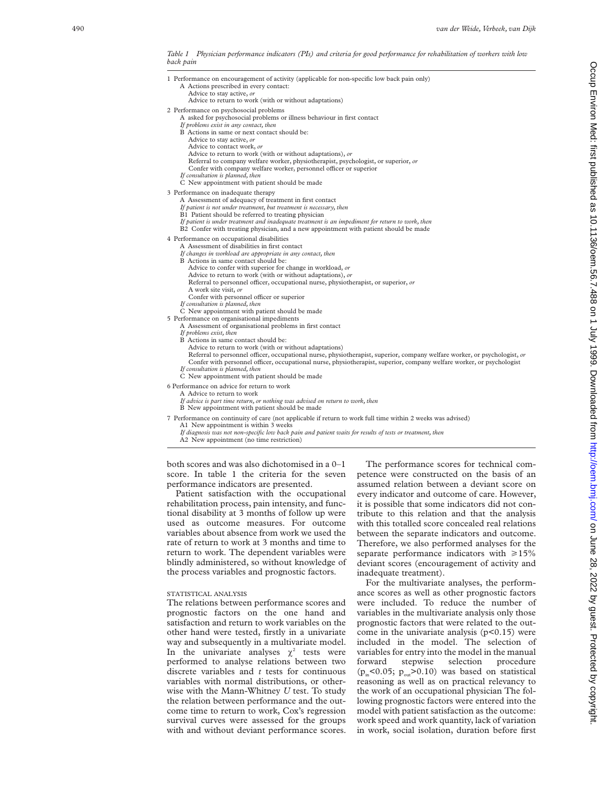*Table 1 Physician performance indicators (PIs) and criteria for good performance for rehabilitation of workers with low back pain*

| 1 Performance on encouragement of activity (applicable for non-specific low back pain only)<br>A Actions prescribed in every contact:<br>Advice to stay active, or<br>Advice to return to work (with or without adaptations)                                                                                                                                                                                                                                                                                                                                                                                                     |
|----------------------------------------------------------------------------------------------------------------------------------------------------------------------------------------------------------------------------------------------------------------------------------------------------------------------------------------------------------------------------------------------------------------------------------------------------------------------------------------------------------------------------------------------------------------------------------------------------------------------------------|
| 2 Performance on psychosocial problems<br>A asked for psychosocial problems or illness behaviour in first contact<br>If problems exist in any contact, then<br>B Actions in same or next contact should be:<br>Advice to stay active, or<br>Advice to contact work, or<br>Advice to return to work (with or without adaptations), or<br>Referral to company welfare worker, physiotherapist, psychologist, or superior, or<br>Confer with company welfare worker, personnel officer or superior<br>If consultation is planned, then<br>C New appointment with patient should be made                                             |
| 3 Performance on inadequate therapy<br>A Assessment of adequacy of treatment in first contact<br>If patient is not under treatment, but treatment is necessary, then<br>B1 Patient should be referred to treating physician<br>If patient is under treatment and inadequate treatment is an impediment for return to work, then<br>B2 Confer with treating physician, and a new appointment with patient should be made                                                                                                                                                                                                          |
| 4 Performance on occupational disabilities<br>A Assessment of disabilities in first contact<br>If changes in workload are appropriate in any contact, then<br>B Actions in same contact should be:<br>Advice to confer with superior for change in workload, or<br>Advice to return to work (with or without adaptations), or<br>Referral to personnel officer, occupational nurse, physiotherapist, or superior, or<br>A work site visit, or<br>Confer with personnel officer or superior<br>If consultation is planned, then                                                                                                   |
| C New appointment with patient should be made<br>5 Performance on organisational impediments<br>A Assessment of organisational problems in first contact<br>If problems exist, then<br>B Actions in same contact should be:<br>Advice to return to work (with or without adaptations)<br>Referral to personnel officer, occupational nurse, physiotherapist, superior, company welfare worker, or psychologist, or<br>Confer with personnel officer, occupational nurse, physiotherapist, superior, company welfare worker, or psychologist<br>If consultation is planned, then<br>C New appointment with patient should be made |
| 6 Performance on advice for return to work<br>A Advice to return to work<br>If advice is part time return, or nothing was advised on return to work, then<br>B New appointment with patient should be made                                                                                                                                                                                                                                                                                                                                                                                                                       |
| 7 Performance on continuity of care (not applicable if return to work full time within 2 weeks was advised)<br>$\Lambda$ 1. $\Lambda$ There is a consideration of the contribution $\Omega$ and a loss                                                                                                                                                                                                                                                                                                                                                                                                                           |

A1 New appointment is within 3 weeks

*If diagnosis was not non-specific low back pain and patient waits for results of tests or treatment, then*

A2 New appointment (no time restriction)

both scores and was also dichotomised in a 0–1 score. In table 1 the criteria for the seven performance indicators are presented.

Patient satisfaction with the occupational rehabilitation process, pain intensity, and functional disability at 3 months of follow up were used as outcome measures. For outcome variables about absence from work we used the rate of return to work at 3 months and time to return to work. The dependent variables were blindly administered, so without knowledge of the process variables and prognostic factors.

#### STATISTICAL ANALYSIS

The relations between performance scores and prognostic factors on the one hand and satisfaction and return to work variables on the other hand were tested, firstly in a univariate way and subsequently in a multivariate model. In the univariate analyses  $\chi^2$  tests were performed to analyse relations between two discrete variables and *t* tests for continuous variables with normal distributions, or otherwise with the Mann-Whitney *U* test. To study the relation between performance and the outcome time to return to work, Cox's regression survival curves were assessed for the groups with and without deviant performance scores.

The performance scores for technical competence were constructed on the basis of an assumed relation between a deviant score on every indicator and outcome of care. However, it is possible that some indicators did not contribute to this relation and that the analysis with this totalled score concealed real relations between the separate indicators and outcome. Therefore, we also performed analyses for the separate performance indicators with  $\geq 15\%$ deviant scores (encouragement of activity and inadequate treatment).

For the multivariate analyses, the performance scores as well as other prognostic factors were included. To reduce the number of variables in the multivariate analysis only those prognostic factors that were related to the outcome in the univariate analysis  $(p<0.15)$  were included in the model. The selection of variables for entry into the model in the manual<br>forward stepwise selection procedure stepwise selection procedure ( $p_m$ <0.05;  $p_{out}$ >0.10) was based on statistical reasoning as well as on practical relevancy to the work of an occupational physician The following prognostic factors were entered into the model with patient satisfaction as the outcome: work speed and work quantity, lack of variation in work, social isolation, duration before first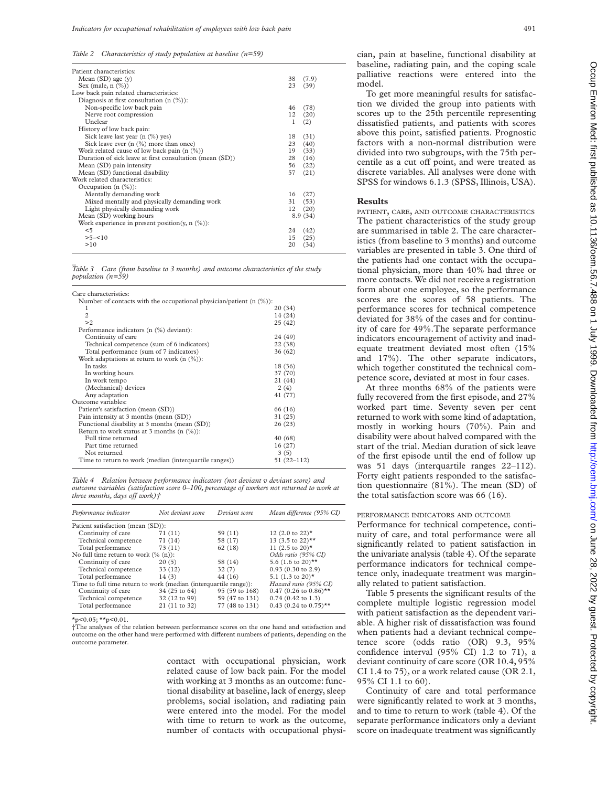*Table 2 Characteristics of study population at baseline (n=59)*

| Patient characteristics:                                 |                   |         |
|----------------------------------------------------------|-------------------|---------|
| Mean $(SD)$ age $(y)$                                    | 38                | (7.9)   |
| Sex (male, $n$ $(\%)$ )                                  | 23                | (39)    |
| Low back pain related characteristics:                   |                   |         |
| Diagnosis at first consultation $(n \ (\%))$ :           |                   |         |
| Non-specific low back pain                               | 46                | (78)    |
| Nerve root compression                                   | 12                | (20)    |
| Unclear                                                  | 1                 | (2)     |
| History of low back pain:                                |                   |         |
| Sick leave last year (n (%) yes)                         | 18                | (31)    |
| Sick leave ever $(n \ (\%)$ more than once)              | 23                | (40)    |
| Work related cause of low back pain $(n \ (\%))$         | 19                | (33)    |
| Duration of sick leave at first consultation (mean (SD)) | 28                | (16)    |
| Mean (SD) pain intensity                                 | 56                | (22)    |
| Mean (SD) functional disability                          | 57                | (21)    |
| Work related characteristics:                            |                   |         |
| Occupation $(n \ (\%))$ :                                |                   |         |
| Mentally demanding work                                  | 16                | (27)    |
| Mixed mentally and physically demanding work             | 31                | (53)    |
| Light physically demanding work                          | $12 \overline{ }$ | (20)    |
| Mean (SD) working hours                                  |                   | 8.9(34) |
| Work experience in present position(y, n $(\%)$ ):       |                   |         |
| $<$ 5                                                    | 24                | (42)    |
| $>5 - 10$                                                | 15                | (25)    |
| >10                                                      | 20                | (34)    |
|                                                          |                   |         |

Table 3 Care (from baseline to 3 months) and outcome characteristics of the study *population (n=59)*

| Care characteristics:                                                   |                |  |  |  |  |
|-------------------------------------------------------------------------|----------------|--|--|--|--|
| Number of contacts with the occupational physician/patient (n $(\%)$ ): |                |  |  |  |  |
| 1                                                                       | 20 (34)        |  |  |  |  |
| $\overline{2}$                                                          | 14 (24)        |  |  |  |  |
| >2                                                                      | 25(42)         |  |  |  |  |
| Performance indicators (n (%) deviant):                                 |                |  |  |  |  |
| Continuity of care                                                      | 24 (49)        |  |  |  |  |
| Technical competence (sum of 6 indicators)                              | 22(38)         |  |  |  |  |
| Total performance (sum of 7 indicators)                                 | 36(62)         |  |  |  |  |
| Work adaptations at return to work $(n \ (\%))$ :                       |                |  |  |  |  |
| In tasks                                                                | 18 (36)        |  |  |  |  |
| In working hours                                                        | 37 (70)        |  |  |  |  |
| In work tempo                                                           | 21(44)         |  |  |  |  |
| (Mechanical) devices                                                    | 2(4)           |  |  |  |  |
| Any adaptation                                                          | 41 (77)        |  |  |  |  |
| Outcome variables:                                                      |                |  |  |  |  |
| Patient's satisfaction (mean (SD))                                      | 66 (16)        |  |  |  |  |
| Pain intensity at 3 months (mean (SD))                                  | 31 (25)        |  |  |  |  |
| Functional disability at 3 months (mean (SD))                           | 26(23)         |  |  |  |  |
| Return to work status at 3 months (n $(\%)$ ):                          |                |  |  |  |  |
| Full time returned                                                      | 40 (68)        |  |  |  |  |
| Part time returned                                                      | 16(27)         |  |  |  |  |
| Not returned                                                            | 3(5)           |  |  |  |  |
| Time to return to work (median (interquartile ranges))                  | $51(22 - 112)$ |  |  |  |  |

*Table 4 Relation between performance indicators (not deviant v deviant score) and outcome variables (satisfaction score 0–100, percentage of workers not returned to work at three months, days off work)*<sup>+</sup>

| Performance indicator                                            | Not deviant score     | Deviant score  | Mean difference (95% CI)            |  |  |
|------------------------------------------------------------------|-----------------------|----------------|-------------------------------------|--|--|
| Patient satisfaction (mean (SD)):                                |                       |                |                                     |  |  |
| Continuity of care                                               | 71 (11)               | 59(11)         | 12 $(2.0 \text{ to } 22)^*$         |  |  |
| Technical competence                                             | 71 (14)               | 58 (17)        | 13 (3.5 to 22)**                    |  |  |
| Total performance                                                | 73(11)                | 62 (18)        | 11 (2.5 to 20)*                     |  |  |
| No full time return to work $(\% (n))$ :                         |                       |                | Odds ratio (95% CI)                 |  |  |
| Continuity of care                                               | 20(5)                 | 58 (14)        | 5.6 $(1.6 \text{ to } 20)$ **       |  |  |
| Technical competence                                             | 33(12)                | 32(7)          | $0.93$ (0.30 to 2.9)                |  |  |
| Total performance                                                | 14(3)                 | 44 (16)        | 5.1 $(1.3 \text{ to } 20)^*$        |  |  |
| Time to full time return to work (median (interquartile range)): | Hazard ratio (95% CI) |                |                                     |  |  |
| Continuity of care                                               | 34 (25 to 64)         | 95 (59 to 168) | $0.47$ (0.26 to 0.86) <sup>**</sup> |  |  |
| Technical competence                                             | 32 (12 to 99)         | 59 (47 to 131) | $0.74$ (0.42 to 1.3)                |  |  |
| Total performance                                                | 21 (11 to 32)         | 77 (48 to 131) | $0.43$ (0.24 to 0.75) <sup>**</sup> |  |  |

 $x_{p}$ <0.05;  $x_{p}$ <0.01.

†The analyses of the relation between performance scores on the one hand and satisfaction and outcome on the other hand were performed with different numbers of patients, depending on the outcome parameter.

> contact with occupational physician, work related cause of low back pain. For the model with working at 3 months as an outcome: functional disability at baseline, lack of energy, sleep problems, social isolation, and radiating pain were entered into the model. For the model with time to return to work as the outcome, number of contacts with occupational physi-

cian, pain at baseline, functional disability at baseline, radiating pain, and the coping scale palliative reactions were entered into the model.

To get more meaningful results for satisfaction we divided the group into patients with scores up to the 25th percentile representing dissatisfied patients, and patients with scores above this point, satisfied patients. Prognostic factors with a non-normal distribution were divided into two subgroups, with the 75th percentile as a cut off point, and were treated as discrete variables. All analyses were done with SPSS for windows 6.1.3 (SPSS, Illinois, USA).

## **Results**

PATIENT, CARE, AND OUTCOME CHARACTERISTICS The patient characteristics of the study group are summarised in table 2. The care characteristics (from baseline to 3 months) and outcome variables are presented in table 3. One third of the patients had one contact with the occupational physician, more than 40% had three or more contacts. We did not receive a registration form about one employee, so the performance scores are the scores of 58 patients. The performance scores for technical competence deviated for 38% of the cases and for continuity of care for 49%.The separate performance indicators encouragement of activity and inadequate treatment deviated most often (15% and 17%). The other separate indicators, which together constituted the technical competence score, deviated at most in four cases.

At three months 68% of the patients were fully recovered from the first episode, and 27% worked part time. Seventy seven per cent returned to work with some kind of adaptation, mostly in working hours (70%). Pain and disability were about halved compared with the start of the trial. Median duration of sick leave of the first episode until the end of follow up was 51 days (interquartile ranges 22–112). Forty eight patients responded to the satisfaction questionnaire (81%). The mean (SD) of the total satisfaction score was 66 (16).

### PERFORMANCE INDICATORS AND OUTCOME

Performance for technical competence, continuity of care, and total performance were all significantly related to patient satisfaction in the univariate analysis (table 4). Of the separate performance indicators for technical competence only, inadequate treatment was marginally related to patient satisfaction.

Table 5 presents the significant results of the complete multiple logistic regression model with patient satisfaction as the dependent variable. A higher risk of dissatisfaction was found when patients had a deviant technical competence score (odds ratio (OR) 9.3, 95% confidence interval (95% CI) 1.2 to 71), a deviant continuity of care score (OR 10.4, 95% CI 1.4 to 75), or a work related cause (OR 2.1, 95% CI 1.1 to 60).

Continuity of care and total performance were significantly related to work at 3 months, and to time to return to work (table 4). Of the separate performance indicators only a deviant score on inadequate treatment was significantly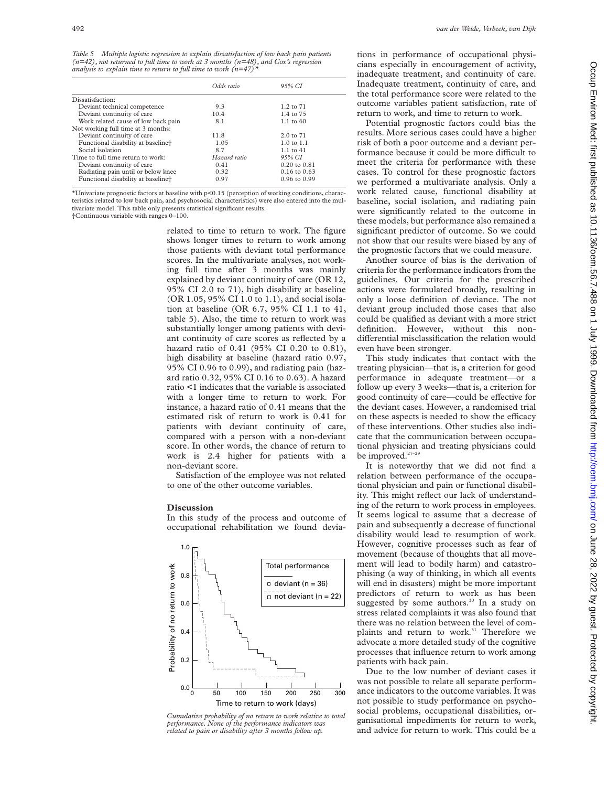*Table 5 Multiple logistic regression to explain dissatisfaction of low back pain patients (n=42), not returned to full time to work at 3 months (n=48), and Cox's regression analysis to explain time to return to full time to work (n=47)\**

| Odds ratio   | 95% CI                  |
|--------------|-------------------------|
|              |                         |
| 9.3          | $1.2 \text{ to } 71$    |
| 10.4         | 1.4 to 75               |
| 8.1          | $1.1 \text{ to } 60$    |
|              |                         |
| 11.8         | $2.0 \text{ to } 71$    |
| 1.05         | $1.0 \text{ to } 1.1$   |
| 8.7          | $1.1 \text{ to } 41$    |
| Hazard ratio | 95% CI                  |
| 0.41         | $0.20 \text{ to } 0.81$ |
| 0.32         | $0.16$ to $0.63$        |
| 0.97         | $0.96$ to $0.99$        |
|              |                         |

\*Univariate prognostic factors at baseline with p<0.15 (perception of working conditions, characteristics related to low back pain, and psychosocial characteristics) were also entered into the multivariate model. This table only presents statistical significant results. †Continuous variable with ranges 0–100.

> related to time to return to work. The figure shows longer times to return to work among those patients with deviant total performance scores. In the multivariate analyses, not working full time after 3 months was mainly explained by deviant continuity of care (OR 12, 95% CI 2.0 to 71), high disability at baseline (OR 1.05, 95% CI 1.0 to 1.1), and social isolation at baseline (OR 6.7, 95% CI 1.1 to 41, table 5). Also, the time to return to work was substantially longer among patients with deviant continuity of care scores as reflected by a hazard ratio of 0.41 (95% CI 0.20 to 0.81), high disability at baseline (hazard ratio 0.97, 95% CI 0.96 to 0.99), and radiating pain (hazard ratio 0.32, 95% CI 0.16 to 0.63). A hazard ratio <1 indicates that the variable is associated with a longer time to return to work. For instance, a hazard ratio of 0.41 means that the estimated risk of return to work is 0.41 for patients with deviant continuity of care, compared with a person with a non-deviant score. In other words, the chance of return to work is 2.4 higher for patients with a non-deviant score.

> Satisfaction of the employee was not related to one of the other outcome variables.

## **Discussion**

In this study of the process and outcome of occupational rehabilitation we found devia-



*Cumulative probability of no return to work relative to total performance. None of the performance indicators was related to pain or disability after 3 months follow up.*

tions in performance of occupational physicians especially in encouragement of activity, inadequate treatment, and continuity of care. Inadequate treatment, continuity of care, and the total performance score were related to the outcome variables patient satisfaction, rate of return to work, and time to return to work.

Potential prognostic factors could bias the results. More serious cases could have a higher risk of both a poor outcome and a deviant performance because it could be more difficult to meet the criteria for performance with these cases. To control for these prognostic factors we performed a multivariate analysis. Only a work related cause, functional disability at baseline, social isolation, and radiating pain were significantly related to the outcome in these models, but performance also remained a significant predictor of outcome. So we could not show that our results were biased by any of the prognostic factors that we could measure.

Another source of bias is the derivation of criteria for the performance indicators from the guidelines. Our criteria for the prescribed actions were formulated broadly, resulting in only a loose definition of deviance. The not deviant group included those cases that also could be qualified as deviant with a more strict definition. However, without this nondifferential misclassification the relation would even have been stronger.

This study indicates that contact with the treating physician—that is, a criterion for good performance in adequate treatment—or a follow up every 3 weeks—that is, a criterion for good continuity of care—could be effective for the deviant cases. However, a randomised trial on these aspects is needed to show the efficacy of these interventions. Other studies also indicate that the communication between occupational physician and treating physicians could be improved.<sup>27-29</sup>

It is noteworthy that we did not find a relation between performance of the occupational physician and pain or functional disability. This might reflect our lack of understanding of the return to work process in employees. It seems logical to assume that a decrease of pain and subsequently a decrease of functional disability would lead to resumption of work. However, cognitive processes such as fear of movement (because of thoughts that all movement will lead to bodily harm) and catastrophising (a way of thinking, in which all events will end in disasters) might be more important predictors of return to work as has been suggested by some authors.<sup>30</sup> In a study on stress related complaints it was also found that there was no relation between the level of complaints and return to work.<sup>31</sup> Therefore we advocate a more detailed study of the cognitive processes that influence return to work among patients with back pain.

Due to the low number of deviant cases it was not possible to relate all separate performance indicators to the outcome variables. It was not possible to study performance on psychosocial problems, occupational disabilities, organisational impediments for return to work, and advice for return to work. This could be a